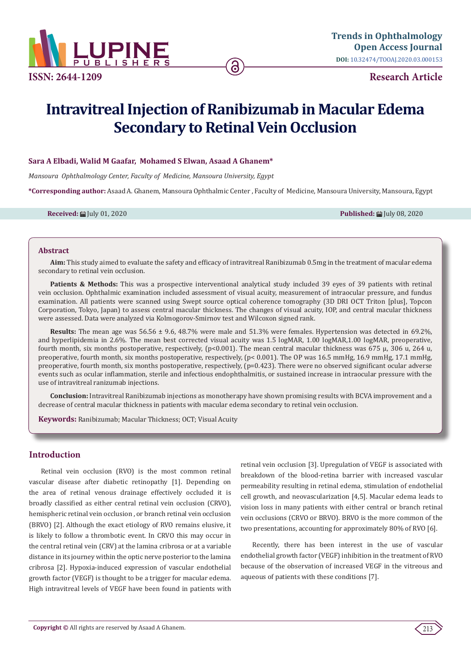

**Research Article**

# **Intravitreal Injection of Ranibizumab in Macular Edema Secondary to Retinal Vein Occlusion**

ခ

## **Sara A Elbadi, Walid M Gaafar, Mohamed S Elwan, Asaad A Ghanem\***

*Mansoura Ophthalmology Center, Faculty of Medicine, Mansoura University, Egypt*

**\*Corresponding author:** Asaad A. Ghanem, Mansoura Ophthalmic Center , Faculty of Medicine, Mansoura University, Mansoura, Egypt

**Received:** ■ July 01, 2020 **Published: ■ July 08, 2020 Published: ■ July 08, 2020** 

#### **Abstract**

**Aim:** This study aimed to evaluate the safety and efficacy of intravitreal Ranibizumab 0.5mg in the treatment of macular edema secondary to retinal vein occlusion.

Patients & Methods: This was a prospective interventional analytical study included 39 eyes of 39 patients with retinal vein occlusion. Ophthalmic examination included assessment of visual acuity, measurement of intraocular pressure, and fundus examination. All patients were scanned using Swept source optical coherence tomography (3D DRI OCT Triton [plus], Topcon Corporation, Tokyo, Japan) to assess central macular thickness. The changes of visual acuity, IOP, and central macular thickness were assessed. Data were analyzed via Kolmogorov-Smirnov test and Wilcoxon signed rank.

**Results:** The mean age was 56.56 ± 9.6, 48.7% were male and 51.3% were females. Hypertension was detected in 69.2%, and hyperlipidemia in 2.6%. The mean best corrected visual acuity was 1.5 logMAR, 1.00 logMAR,1.00 logMAR, preoperative, fourth month, six months postoperative, respectively, (p<0.001). The mean central macular thickness was 675 µ, 306 u, 264 u, preoperative, fourth month, six months postoperative, respectively, (p< 0.001). The OP was 16.5 mmHg, 16.9 mmHg, 17.1 mmHg, preoperative, fourth month, six months postoperative, respectively, (p=0.423). There were no observed significant ocular adverse events such as ocular inflammation, sterile and infectious endophthalmitis, or sustained increase in intraocular pressure with the use of intravitreal ranizumab injections.

**Conclusion:** Intravitreal Ranibizumab injections as monotherapy have shown promising results with BCVA improvement and a decrease of central macular thickness in patients with macular edema secondary to retinal vein occlusion.

**Keywords:** Ranibizumab; Macular Thickness; OCT; Visual Acuity

## **Introduction**

Retinal vein occlusion (RVO) is the most common retinal vascular disease after diabetic retinopathy [1]. Depending on the area of retinal venous drainage effectively occluded it is broadly classified as either central retinal vein occlusion (CRVO), hemispheric retinal vein occlusion , or branch retinal vein occlusion (BRVO) [2]. Although the exact etiology of RVO remains elusive, it is likely to follow a thrombotic event. In CRVO this may occur in the central retinal vein (CRV) at the lamina cribrosa or at a variable distance in its journey within the optic nerve posterior to the lamina cribrosa [2]. Hypoxia-induced expression of vascular endothelial growth factor (VEGF) is thought to be a trigger for macular edema. High intravitreal levels of VEGF have been found in patients with

retinal vein occlusion [3]. Upregulation of VEGF is associated with breakdown of the blood-retina barrier with increased vascular permeability resulting in retinal edema, stimulation of endothelial cell growth, and neovascularization [4,5]. Macular edema leads to vision loss in many patients with either central or branch retinal vein occlusions (CRVO or BRVO). BRVO is the more common of the two presentations, accounting for approximately 80% of RVO [6].

Recently, there has been interest in the use of vascular endothelial growth factor (VEGF) inhibition in the treatment of RVO because of the observation of increased VEGF in the vitreous and aqueous of patients with these conditions [7].

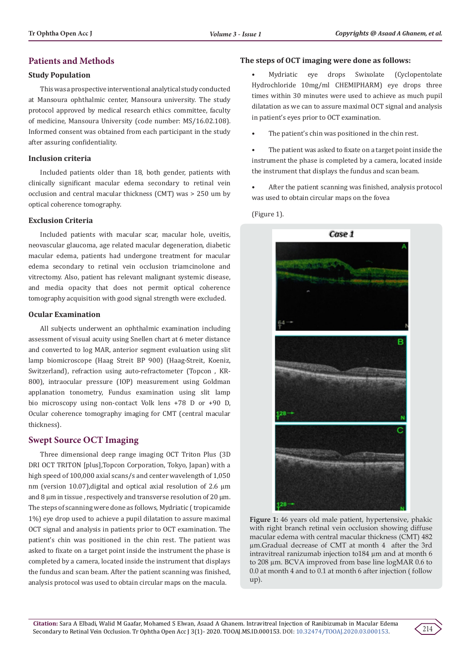## **Patients and Methods**

## **Study Population**

This was a prospective interventional analytical study conducted at Mansoura ophthalmic center, Mansoura university. The study protocol approved by medical research ethics committee, faculty of medicine, Mansoura University (code number: MS/16.02.108). Informed consent was obtained from each participant in the study after assuring confidentiality.

## **Inclusion criteria**

Included patients older than 18, both gender, patients with clinically significant macular edema secondary to retinal vein occlusion and central macular thickness (CMT) was > 250 um by optical coherence tomography.

## **Exclusion Criteria**

Included patients with macular scar, macular hole, uveitis, neovascular glaucoma, age related macular degeneration, diabetic macular edema, patients had undergone treatment for macular edema secondary to retinal vein occlusion triamcinolone and vitrectomy. Also, patient has relevant malignant systemic disease, and media opacity that does not permit optical coherence tomography acquisition with good signal strength were excluded.

## **Ocular Examination**

All subjects underwent an ophthalmic examination including assessment of visual acuity using Snellen chart at 6 meter distance and converted to log MAR, anterior segment evaluation using slit lamp biomicroscope (Haag Streit BP 900) (Haag-Streit, Koeniz, Switzerland), refraction using auto-refractometer (Topcon , KR-800), intraocular pressure (IOP) measurement using Goldman applanation tonometry, Fundus examination using slit lamp bio microscopy using non-contact Volk lens +78 D or +90 D, Ocular coherence tomography imaging for CMT (central macular thickness).

## **Swept Source OCT Imaging**

Three dimensional deep range imaging OCT Triton Plus (3D DRI OCT TRITON [plus],Topcon Corporation, Tokyo, Japan) with a high speed of 100,000 axial scans/s and center wavelength of 1,050 nm (version 10.07), digital and optical axial resolution of 2.6  $\mu$ m and 8  $\mu$ m in tissue, respectively and transverse resolution of 20  $\mu$ m. The steps of scanning were done as follows, Mydriatic ( tropicamide 1%) eye drop used to achieve a pupil dilatation to assure maximal OCT signal and analysis in patients prior to OCT examination. The patient's chin was positioned in the chin rest. The patient was asked to fixate on a target point inside the instrument the phase is completed by a camera, located inside the instrument that displays the fundus and scan beam. After the patient scanning was finished, analysis protocol was used to obtain circular maps on the macula.

## **The steps of OCT imaging were done as follows:**

• Mydriatic eye drops Swixolate (Cyclopentolate Hydrochloride 10mg/ml CHEMIPHARM) eye drops three times within 30 minutes were used to achieve as much pupil dilatation as we can to assure maximal OCT signal and analysis in patient's eyes prior to OCT examination.

The patient's chin was positioned in the chin rest.

The patient was asked to fixate on a target point inside the instrument the phase is completed by a camera, located inside the instrument that displays the fundus and scan beam.

• After the patient scanning was finished, analysis protocol was used to obtain circular maps on the fovea

(Figure 1).



**Figure 1:** 46 years old male patient, hypertensive, phakic with right branch retinal vein occlusion showing diffuse macular edema with central macular thickness (CMT) 482 µm.Gradual decrease of CMT at month 4 after the 3rd intravitreal ranizumab injection to184 µm and at month 6 to 208 µm. BCVA improved from base line logMAR 0.6 to 0.0 at month 4 and to 0.1 at month 6 after injection ( follow up).

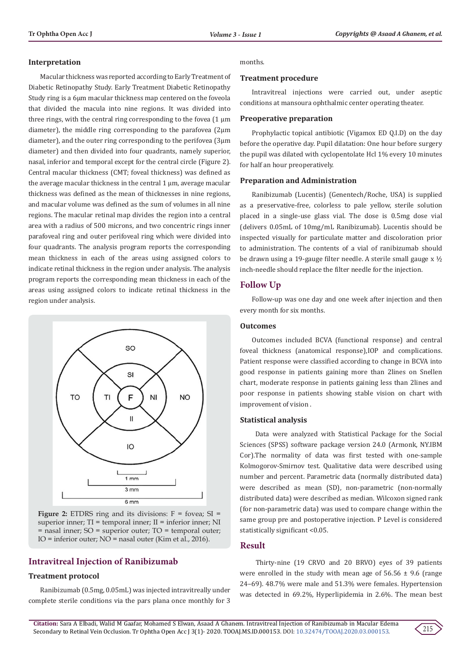#### **Interpretation**

Macular thickness was reported according to Early Treatment of Diabetic Retinopathy Study. Early Treatment Diabetic Retinopathy Study ring is a 6μm macular thickness map centered on the foveola that divided the macula into nine regions. It was divided into three rings, with the central ring corresponding to the fovea (1 μm diameter), the middle ring corresponding to the parafovea (2μm diameter), and the outer ring corresponding to the perifovea (3μm diameter) and then divided into four quadrants, namely superior, nasal, inferior and temporal except for the central circle (Figure 2). Central macular thickness (CMT; foveal thickness) was defined as the average macular thickness in the central 1 μm, average macular thickness was defined as the mean of thicknesses in nine regions, and macular volume was defined as the sum of volumes in all nine regions. The macular retinal map divides the region into a central area with a radius of 500 microns, and two concentric rings inner parafoveal ring and outer perifoveal ring which were divided into four quadrants. The analysis program reports the corresponding mean thickness in each of the areas using assigned colors to indicate retinal thickness in the region under analysis. The analysis program reports the corresponding mean thickness in each of the areas using assigned colors to indicate retinal thickness in the region under analysis.



**Figure 2:** ETDRS ring and its divisions: F = fovea; SI = superior inner; TI = temporal inner; II = inferior inner; NI  $=$  nasal inner; SO  $=$  superior outer; TO  $=$  temporal outer; IO = inferior outer;  $\overrightarrow{NO}$  = nasal outer (Kim et al., 2016).

## **Intravitreal Injection of Ranibizumab**

#### **Treatment protocol**

Ranibizumab (0.5mg, 0.05mL) was injected intravitreally under complete sterile conditions via the pars plana once monthly for 3

#### months.

#### **Treatment procedure**

Intravitreal injections were carried out, under aseptic conditions at mansoura ophthalmic center operating theater.

#### **Preoperative preparation**

Prophylactic topical antibiotic (Vigamox ED Q.I.D) on the day before the operative day. Pupil dilatation: One hour before surgery the pupil was dilated with cyclopentolate Hcl 1% every 10 minutes for half an hour preoperatively.

#### **Preparation and Administration**

Ranibizumab (Lucentis) (Genentech/Roche, USA) is supplied as a preservative-free, colorless to pale yellow, sterile solution placed in a single-use glass vial. The dose is 0.5mg dose vial (delivers 0.05mL of 10mg/mL Ranibizumab). Lucentis should be inspected visually for particulate matter and discoloration prior to administration. The contents of a vial of ranibizumab should be drawn using a 19-gauge filter needle. A sterile small gauge x ½ inch-needle should replace the filter needle for the injection.

#### **Follow Up**

Follow-up was one day and one week after injection and then every month for six months.

## **Outcomes**

Outcomes included BCVA (functional response) and central foveal thickness (anatomical response),IOP and complications. Patient response were classified according to change in BCVA into good response in patients gaining more than 2lines on Snellen chart, moderate response in patients gaining less than 2lines and poor response in patients showing stable vision on chart with improvement of vision .

#### **Statistical analysis**

 Data were analyzed with Statistical Package for the Social Sciences (SPSS) software package version 24.0 (Armonk, NY.IBM Cor).The normality of data was first tested with one-sample Kolmogorov-Smirnov test. Qualitative data were described using number and percent. Parametric data (normally distributed data) were described as mean (SD), non-parametric (non-normally distributed data) were described as median. Wilcoxon signed rank (for non-parametric data) was used to compare change within the same group pre and postoperative injection. P Level is considered statistically significant <0.05.

## **Result**

 Thirty-nine (19 CRVO and 20 BRVO) eyes of 39 patients were enrolled in the study with mean age of  $56.56 \pm 9.6$  (range 24–69). 48.7% were male and 51.3% were females. Hypertension was detected in 69.2%, Hyperlipidemia in 2.6%. The mean best

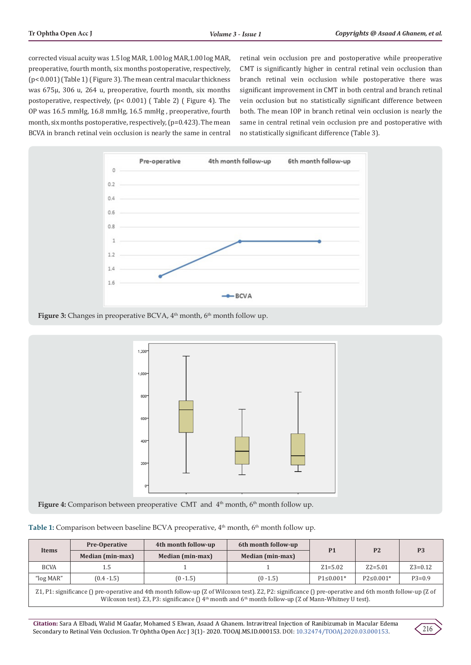corrected visual acuity was 1.5 log MAR, 1.00 log MAR,1.00 log MAR, preoperative, fourth month, six months postoperative, respectively, (p< 0.001) (Table 1) ( Figure 3). The mean central macular thickness was 675µ, 306 u, 264 u, preoperative, fourth month, six months postoperative, respectively, (p< 0.001) ( Table 2) ( Figure 4). The OP was 16.5 mmHg, 16.8 mmHg, 16.5 mmHg , preoperative, fourth month, six months postoperative, respectively, (p=0.423). The mean BCVA in branch retinal vein occlusion is nearly the same in central

retinal vein occlusion pre and postoperative while preoperative CMT is significantly higher in central retinal vein occlusion than branch retinal vein occlusion while postoperative there was significant improvement in CMT in both central and branch retinal vein occlusion but no statistically significant difference between both. The mean IOP in branch retinal vein occlusion is nearly the same in central retinal vein occlusion pre and postoperative with no statistically significant difference (Table 3).



Figure 3: Changes in preoperative BCVA, 4<sup>th</sup> month, 6<sup>th</sup> month follow up.



Figure 4: Comparison between preoperative CMT and 4<sup>th</sup> month, 6<sup>th</sup> month follow up.

| Table 1: Comparison between baseline BCVA preoperative, 4 <sup>th</sup> month, 6 <sup>th</sup> month follow up. |  |  |  |
|-----------------------------------------------------------------------------------------------------------------|--|--|--|
|-----------------------------------------------------------------------------------------------------------------|--|--|--|

| Items       | <b>Pre-Operative</b><br>Median (min-max) | 4th month follow-up<br>Median (min-max) | 6th month follow-up<br>Median (min-max) | P <sub>1</sub>  | P <sub>2</sub>  | P <sub>3</sub> |
|-------------|------------------------------------------|-----------------------------------------|-----------------------------------------|-----------------|-----------------|----------------|
| <b>BCVA</b> | 1.5                                      |                                         |                                         | $Z_1 = 5.02$    | $Z2 = 5.01$     | $Z3 = 0.12$    |
| "log MAR"   | $(0.4 - 1.5)$                            | $(0 - 1.5)$                             | $(0 - 1.5)$                             | $P1 \le 0.001*$ | $P2 \le 0.001*$ | $P3=0.9$       |
|             |                                          |                                         |                                         |                 |                 |                |

Z1, P1: significance () pre-operative and 4th month follow-up (Z of Wilcoxon test). Z2, P2: significance () pre-operative and 6th month follow-up (Z of Wilcoxon test). Z3, P3: significance () 4<sup>th</sup> month and 6<sup>th</sup> month follow-up (Z of Mann-Whitney U test).

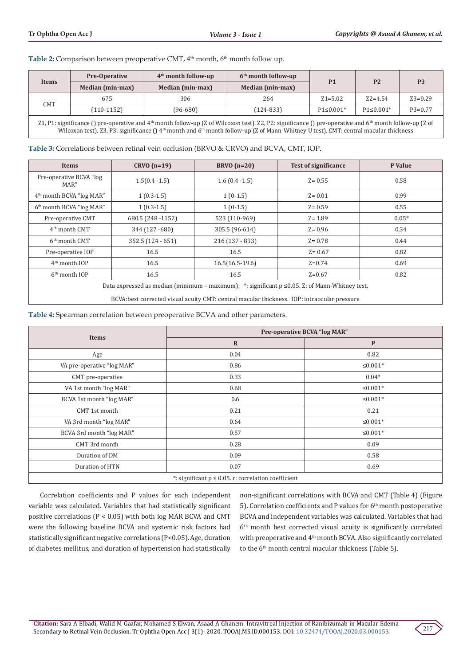Table 2: Comparison between preoperative CMT, 4<sup>th</sup> month, 6<sup>th</sup> month follow up.

| Items | <b>Pre-Operative</b> | $4th$ month follow-up | $6th$ month follow-up | P <sub>1</sub>  | P <sub>2</sub>  | P <sub>3</sub> |
|-------|----------------------|-----------------------|-----------------------|-----------------|-----------------|----------------|
|       | Median (min-max)     | Median (min-max)      | Median (min-max)      |                 |                 |                |
| CMT   | 675                  | 306                   | 264                   | $Z_1 = 5.02$    | $Z2 = 4.54$     | $Z3 = 0.29$    |
|       | (110-1152)           | (96-680)              | (124-833)             | $P1 \le 0.001*$ | $P1 \le 0.001*$ | $P3=0.77$      |
|       |                      |                       |                       |                 |                 |                |

Z1, P1: significance () pre-operative and  $4<sup>th</sup>$  month follow-up (Z of Wilcoxon test). Z2, P2: significance () pre-operative and  $6<sup>th</sup>$  month follow-up (Z of Wilcoxon test). Z3, P3: significance  $($ ) 4<sup>th</sup> month and 6<sup>th</sup> month follow-up (Z of Mann-Whitney U test). CMT: central macular thickness

**Table 3:** Correlations between retinal vein occlusion (BRVO & CRVO) and BCVA, CMT, IOP.

| <b>Items</b>                                                                                                                                                                                           | $CRVO (n=19)$      | $BRVO(n=20)$      | <b>Test of significance</b> | P Value |
|--------------------------------------------------------------------------------------------------------------------------------------------------------------------------------------------------------|--------------------|-------------------|-----------------------------|---------|
| Pre-operative BCVA "log<br>MAR"                                                                                                                                                                        | $1.5(0.4 - 1.5)$   | $1.6(0.4 - 1.5)$  | $Z = 0.55$                  | 0.58    |
| 4 <sup>th</sup> month BCVA "log MAR"                                                                                                                                                                   | $1(0.3-1.5)$       | $1(0-1.5)$        | $Z = 0.01$                  | 0.99    |
| 6 <sup>th</sup> month BCVA "log MAR"                                                                                                                                                                   | $1(0.3-1.5)$       | $1(0-1.5)$        | $Z = 0.59$                  | 0.55    |
| Pre-operative CMT                                                                                                                                                                                      | 680.5 (248 - 1152) | 523 (110-969)     | $Z = 1.89$                  | $0.05*$ |
| 4 <sup>th</sup> month CMT                                                                                                                                                                              | 344 (127 - 680)    | 305.5 (96-614)    | $Z = 0.96$                  | 0.34    |
| 6 <sup>th</sup> month CMT                                                                                                                                                                              | 352.5 (124 - 651)  | $216(137 - 833)$  | $Z = 0.78$                  | 0.44    |
| Pre-operative IOP                                                                                                                                                                                      | 16.5               | 16.5              | $Z = 0.67$                  | 0.82    |
| $4th$ month IOP                                                                                                                                                                                        | 16.5               | $16.5(16.5-19.6)$ | $Z=0.74$                    | 0.69    |
| 6 <sup>th</sup> month IOP                                                                                                                                                                              | 16.5               | 16.5              | $Z=0.67$                    | 0.82    |
| Data expressed as median (minimum – maximum). $*$ : significant $p \le 0.05$ . Z: of Mann-Whitney test.<br>BCVA:best corrected visual acuity CMT: central macular thickness. IOP: intraocular pressure |                    |                   |                             |         |

**Table 4:** Spearman correlation between preoperative BCVA and other parameters.

|                                                          | Pre-operative BCVA "log MAR" |               |  |
|----------------------------------------------------------|------------------------------|---------------|--|
| <b>Items</b>                                             | $\mathbf R$                  | $\mathbf{P}$  |  |
| Age                                                      | 0.04                         | 0.82          |  |
| VA pre-operative "log MAR"                               | 0.86                         | $\leq 0.001*$ |  |
| CMT pre-operative                                        | 0.33                         | $0.04*$       |  |
| VA 1st month "log MAR"                                   | 0.68                         | $\leq 0.001*$ |  |
| BCVA 1st month "log MAR"                                 | 0.6                          | ≤ $0.001*$    |  |
| CMT 1st month                                            | 0.21                         | 0.21          |  |
| VA 3rd month "log MAR"                                   | 0.64                         | $\leq 0.001*$ |  |
| BCVA 3rd month "log MAR"                                 | 0.57                         | $\leq 0.001*$ |  |
| CMT 3rd month                                            | 0.28                         | 0.09          |  |
| Duration of DM                                           | 0.09                         | 0.58          |  |
| Duration of HTN                                          | 0.07                         | 0.69          |  |
| *: significant $p \le 0.05$ . r: correlation coefficient |                              |               |  |

Correlation coefficients and P values for each independent variable was calculated. Variables that had statistically significant positive correlations (P < 0.05) with both log MAR BCVA and CMT were the following baseline BCVA and systemic risk factors had statistically significant negative correlations (P<0.05). Age, duration of diabetes mellitus, and duration of hypertension had statistically

non-significant correlations with BCVA and CMT (Table 4) (Figure 5). Correlation coefficients and P values for 6<sup>th</sup> month postoperative BCVA and independent variables was calculated. Variables that had 6th month best corrected visual acuity is significantly correlated with preoperative and 4th month BCVA. Also significantly correlated to the 6<sup>th</sup> month central macular thickness (Table 5).

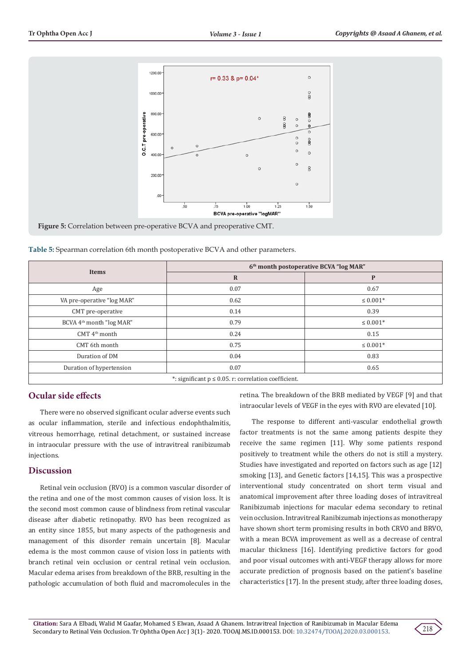

**Figure 5:** Correlation between pre-operative BCVA and preoperative CMT.

**Table 5:** Spearman correlation 6th month postoperative BCVA and other parameters.

|                                                           | 6 <sup>th</sup> month postoperative BCVA "log MAR" |                  |  |
|-----------------------------------------------------------|----------------------------------------------------|------------------|--|
| <b>Items</b>                                              | $\mathbf R$                                        | P                |  |
| Age                                                       | 0.07                                               | 0.67             |  |
| VA pre-operative "log MAR"                                | 0.62                                               | $\leq 0.001*$    |  |
| CMT pre-operative                                         | 0.14                                               | 0.39             |  |
| BCVA 4 <sup>th</sup> month "log MAR"                      | 0.79                                               | $\leq 0.001*$    |  |
| CMT 4 <sup>th</sup> month                                 | 0.24                                               | 0.15             |  |
| CMT 6th month                                             | 0.75                                               | $\leq 0.001^{*}$ |  |
| Duration of DM                                            | 0.04                                               | 0.83             |  |
| Duration of hypertension                                  | 0.07                                               | 0.65             |  |
| *: significant $p \le 0.05$ . r: correlation coefficient. |                                                    |                  |  |

## **Ocular side effects**

There were no observed significant ocular adverse events such as ocular inflammation, sterile and infectious endophthalmitis, vitreous hemorrhage, retinal detachment, or sustained increase in intraocular pressure with the use of intravitreal ranibizumab injections.

## **Discussion**

Retinal vein occlusion (RVO) is a common vascular disorder of the retina and one of the most common causes of vision loss. It is the second most common cause of blindness from retinal vascular disease after diabetic retinopathy. RVO has been recognized as an entity since 1855, but many aspects of the pathogenesis and management of this disorder remain uncertain [8]. Macular edema is the most common cause of vision loss in patients with branch retinal vein occlusion or central retinal vein occlusion. Macular edema arises from breakdown of the BRB, resulting in the pathologic accumulation of both fluid and macromolecules in the

retina. The breakdown of the BRB mediated by VEGF [9] and that intraocular levels of VEGF in the eyes with RVO are elevated [10].

The response to different anti-vascular endothelial growth factor treatments is not the same among patients despite they receive the same regimen [11]. Why some patients respond positively to treatment while the others do not is still a mystery. Studies have investigated and reported on factors such as age [12] smoking [13], and Genetic factors [14,15]. This was a prospective interventional study concentrated on short term visual and anatomical improvement after three loading doses of intravitreal Ranibizumab injections for macular edema secondary to retinal vein occlusion. Intravitreal Ranibizumab injections as monotherapy have shown short term promising results in both CRVO and BRVO, with a mean BCVA improvement as well as a decrease of central macular thickness [16]. Identifying predictive factors for good and poor visual outcomes with anti-VEGF therapy allows for more accurate prediction of prognosis based on the patient's baseline characteristics [17]. In the present study, after three loading doses,

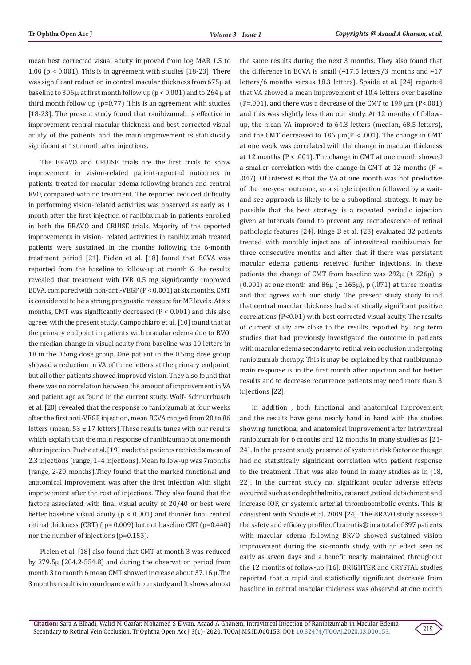mean best corrected visual acuity improved from log MAR 1.5 to 1.00 (p < 0.001). This is in agreement with studies [18-23]. There was significant reduction in central macular thickness from 675µ at baseline to 306  $\mu$  at first month follow up (p < 0.001) and to 264  $\mu$  at third month follow up (p=0.77) .This is an agreement with studies [18-23]. The present study found that ranibizumab is effective in improvement central macular thickness and best corrected visual acuity of the patients and the main improvement is statistically significant at 1st month after injections.

The BRAVO and CRUISE trials are the first trials to show improvement in vision-related patient-reported outcomes in patients treated for macular edema following branch and central RVO, compared with no treatment. The reported reduced difficulty in performing vision-related activities was observed as early as 1 month after the first injection of ranibizumab in patients enrolled in both the BRAVO and CRUISE trials. Majority of the reported improvements in vision- related activities in ranibizumab treated patients were sustained in the months following the 6-month treatment period [21]. Pielen et al. [18] found that BCVA was reported from the baseline to follow-up at month 6 the results revealed that treatment with IVR 0.5 mg significantly improved BCVA, compared with non-anti-VEGF (P < 0.001) at six months. CMT is considered to be a strong prognostic measure for ME levels. At six months, CMT was significantly decreased (P < 0.001) and this also agrees with the present study. Campochiaro et al. [10] found that at the primary endpoint in patients with macular edema due to RVO, the median change in visual acuity from baseline was 10 letters in 18 in the 0.5mg dose group. One patient in the 0.5mg dose group showed a reduction in VA of three letters at the primary endpoint, but all other patients showed improved vision. They also found that there was no correlation between the amount of improvement in VA and patient age as found in the current study. Wolf- Schnurrbusch et al. [20] revealed that the response to ranibizumab at four weeks after the first anti-VEGF injection, mean BCVA ranged from 20 to 86 letters (mean,  $53 \pm 17$  letters). These results tunes with our results which explain that the main response of ranibizumab at one month after injection. Puche et al. [19] made the patients received a mean of 2.3 injections (range, 1–4 injections). Mean follow-up was 7months (range, 2-20 months).They found that the marked functional and anatomical improvement was after the first injection with slight improvement after the rest of injections. They also found that the factors associated with final visual acuity of 20/40 or best were better baseline visual acuity ( $p < 0.001$ ) and thinner final central retinal thickness (CRT) ( p= 0.009) but not baseline CRT (p=0.440) nor the number of injections (p=0.153).

Pielen et al. [18] also found that CMT at month 3 was reduced by 379.5µ (204.2-554.8) and during the observation period from month 3 to month 6 mean CMT showed increase about 37.16 µ.The 3 months result is in coordnance with our study and It shows almost the same results during the next 3 months. They also found that the difference in BCVA is small (+17.5 letters/3 months and +17 letters/6 months versus 18.3 letters). Spaide et al. [24] reported that VA showed a mean improvement of 10.4 letters over baseline (P=.001), and there was a decrease of the CMT to 199  $\mu$ m (P<.001) and this was slightly less than our study. At 12 months of followup, the mean VA improved to 64.3 letters (median, 68.5 letters), and the CMT decreased to 186  $\mu$ m(P < .001). The change in CMT at one week was correlated with the change in macular thickness at 12 months (P < .001). The change in CMT at one month showed a smaller correlation with the change in CMT at 12 months ( $P =$ .047). Of interest is that the VA at one month was not predictive of the one-year outcome, so a single injection followed by a waitand-see approach is likely to be a suboptimal strategy. It may be possible that the best strategy is a repeated periodic injection given at intervals found to prevent any recrudescence of retinal pathologic features [24]. Kinge B et al. (23) evaluated 32 patients treated with monthly injections of intravitreal ranibizumab for three consecutive months and after that if there was persistant macular edema patients received further injections. In these patients the change of CMT from baseline was  $292\mu$  ( $\pm 226\mu$ ), p (0.001) at one month and  $86\mu$  ( $\pm$  165 $\mu$ ), p (.071) at three months and that agrees with our study. The present study study found that central macular thickness had statistically significant positive correlations (P<0.01) with best corrected visual acuity. The results of current study are close to the results reported by long term studies that had previously investigated the outcome in patients with macular edema secondary to retinal vein occlusion undergoing ranibizumab therapy. This is may be explained by that ranibizumab main response is in the first month after injection and for better results and to decrease recurrence patients may need more than 3 injections [22].

In addition , both functional and anatomical improvement and the results have gone nearly hand in hand with the studies showing functional and anatomical improvement after intravitreal ranibizumab for 6 months and 12 months in many studies as [21- 24]. In the present study presence of systemic risk factor or the age had no statistically significant correlation with patient response to the treatment .That was also found in many studies as in [18, 22]. In the current study no, significant ocular adverse effects occurred such as endophthalmitis, cataract ,retinal detachment and increase IOP, or systemic arterial thromboembolic events. This is consistent with Spaide et al. 2009 [24]. The BRAVO study assessed the safety and efficacy profile of Lucentis® in a total of 397 patients with macular edema following BRVO showed sustained vision improvement during the six-month study, with an effect seen as early as seven days and a benefit nearly maintained throughout the 12 months of follow-up [16]. BRIGHTER and CRYSTAL studies reported that a rapid and statistically significant decrease from baseline in central macular thickness was observed at one month

219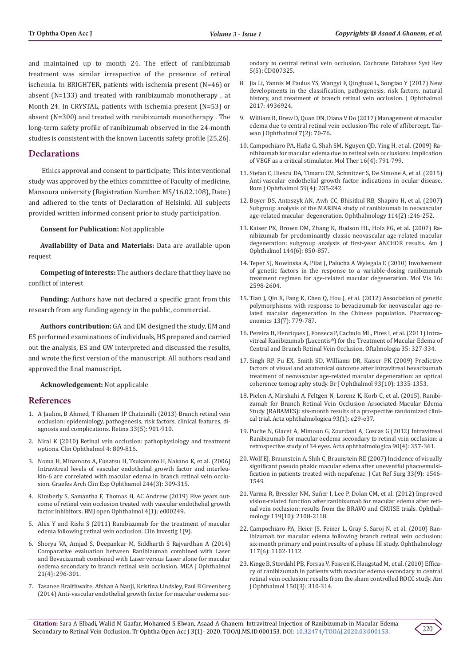and maintained up to month 24. The effect of ranibizumab treatment was similar irrespective of the presence of retinal ischemia. In BRIGHTER, patients with ischemia present (N=46) or absent (N=133) and treated with ranibizumab monotherapy , at Month 24. In CRYSTAL, patients with ischemia present (N=53) or absent (N=300) and treated with ranibizumab monotherapy . The long-term safety profile of ranibizumab observed in the 24-month studies is consistent with the known Lucentis safety profile [25,26].

## **Declarations**

 Ethics approval and consent to participate; This interventional study was approved by the ethics committee of Faculty of medicine, Mansoura university (Registration Number: MS/16.02.108), Date:) and adhered to the tents of Declaration of Helsinki. All subjects provided written informed consent prior to study participation.

**Consent for Publication:** Not applicable

**Availability of Data and Materials:** Data are available upon request

**Competing of interests:** The authors declare that they have no conflict of interest

**Funding:** Authors have not declared a specific grant from this research from any funding agency in the public, commercial.

**Authors contribution:** GA and EM designed the study, EM and ES performed examinations of individuals, HS prepared and carried out the analysis, ES and GW interpreted and discussed the results, and wrote the first version of the manuscript. All authors read and approved the final manuscript.

#### **Acknowledgement:** Not applicable

## **References**

- 1. [A Jaulim, B Ahmed, T Khanam IP Chatziralli \(2013\) Branch retinal vein](https://pubmed.ncbi.nlm.nih.gov/23609064/)  [occlusion: epidemiology, pathogenesis, risk factors, clinical features, di](https://pubmed.ncbi.nlm.nih.gov/23609064/)[agnosis and complications. Retina 33\(5\): 901-910.](https://pubmed.ncbi.nlm.nih.gov/23609064/)
- 2. [Niral K \(2010\) Retinal vein occlusion: pathophysiology and treatment](https://pubmed.ncbi.nlm.nih.gov/20689798/)  [options. Clin Ophthalmol 4: 809-816.](https://pubmed.ncbi.nlm.nih.gov/20689798/)
- 3. [Noma H, Minamoto A, Funatsu H, Tsukamoto H, Nakano K, et al. \(2006\)](https://pubmed.ncbi.nlm.nih.gov/16133018/)  [Intravitreal levels of vascular endothelial growth factor and interleu](https://pubmed.ncbi.nlm.nih.gov/16133018/)[kin-6 are correlated with macular edema in branch retinal vein occlu](https://pubmed.ncbi.nlm.nih.gov/16133018/)[sion. Graefes Arch Clin Exp Ophthamol 244\(3\): 309-315.](https://pubmed.ncbi.nlm.nih.gov/16133018/)
- 4. [Kimberly S, Samantha F, Thomas H, AC Andrew \(2019\) Five years out](https://www.ncbi.nlm.nih.gov/pmc/articles/PMC6440600/)[come of retinal vein occlusion treated with vascular endothelial growth](https://www.ncbi.nlm.nih.gov/pmc/articles/PMC6440600/)  [factor inhibitors. BMJ open Ophthalmol 4\(1\): e000249.](https://www.ncbi.nlm.nih.gov/pmc/articles/PMC6440600/)
- 5. [Alex Y and Rishi S \(2011\) Ranibizumab for the treatment of macular](https://www.openaccessjournals.com/articles/ranibizumab-for-the-treatment-of-macular-edema-following-retinal-vein-occlusion.pdf)  [edema following retinal vein occlusion. Clin Investig 1\(9\).](https://www.openaccessjournals.com/articles/ranibizumab-for-the-treatment-of-macular-edema-following-retinal-vein-occlusion.pdf)
- 6. [Shorya VA, Amjad S, Deepankur M, Siddharth S Rajvardhan A \(2014\)](https://pubmed.ncbi.nlm.nih.gov/25371633/)  [Comparative evaluation between Ranibizumab combined with Laser](https://pubmed.ncbi.nlm.nih.gov/25371633/)  [and Bevacizumab combined with Laser versus Laser alone for macular](https://pubmed.ncbi.nlm.nih.gov/25371633/)  [oedema secondary to branch retinal vein occlusion. MEA J Ophthalmol](https://pubmed.ncbi.nlm.nih.gov/25371633/)  [21\(4\): 296-301.](https://pubmed.ncbi.nlm.nih.gov/25371633/)
- 7. Tasanee Braithwaite, Afshan A Nanji, Kristina Lindsley, Paul B Greenberg (2014) Anti-vascular endothelial growth factor for macular oedema sec-

ondary to central retinal vein occlusion. Cochrane Database Syst Rev 5(5): CD007325.

- 8. [Jia Li, Yannis M Paulus YS, Wangyi F, Qinghuai L, Songtao Y \(2017\) New](https://pubmed.ncbi.nlm.nih.gov/28386476/) [developments in the classification, pathogenesis, risk factors, natural](https://pubmed.ncbi.nlm.nih.gov/28386476/) [history, and treatment of branch retinal vein occlusion. J Ophthalmol](https://pubmed.ncbi.nlm.nih.gov/28386476/) [2017: 4936924.](https://pubmed.ncbi.nlm.nih.gov/28386476/)
- 9. [William R, Drew D, Quan DN, Diana V Do \(2017\) Management of macular](https://pubmed.ncbi.nlm.nih.gov/29018760/) [edema due to central retinal vein occlusion-The role of aflibercept. Tai](https://pubmed.ncbi.nlm.nih.gov/29018760/)[wan J Ophthalmol 7\(2\): 70-76.](https://pubmed.ncbi.nlm.nih.gov/29018760/)
- 10. [Campochiaro PA, Hafiz G, Shah SM, Nguyen QD, Ying H, et al. \(2009\) Ra](https://www.sciencedirect.com/science/article/pii/S1525001616314629)[nibizumab for macular edema due to retinal vein occlusions: implication](https://www.sciencedirect.com/science/article/pii/S1525001616314629) [of VEGF as a critical stimulator. Mol Ther 16\(4\): 791-799.](https://www.sciencedirect.com/science/article/pii/S1525001616314629)
- 11. [Stefan C, Iliescu DA, Timaru CM, Schmitzer S, De Simone A, et al. \(2015\)](https://pubmed.ncbi.nlm.nih.gov/29450313/) [Anti-vascular endothelial growth factor indications in ocular disease.](https://pubmed.ncbi.nlm.nih.gov/29450313/) [Rom J Ophthalmol 59\(4\): 235-242.](https://pubmed.ncbi.nlm.nih.gov/29450313/)
- 12. Boyer DS, Antoszyk AN, Awh CC, Bhisitkul RB, Shapiro H, et al. (2007) Subgroup analysis of the MARINA study of ranibizumab in neovascular age-related macular degeneration. Ophthalmology 114(2) :246-252.
- 13. Kaiser PK, Brown DM, Zhang K, Hudson HL, Holz FG, et al. (2007) Ranibizumab for predominantly classic neovascular age-related macular degeneration: subgroup analysis of first-year ANCHOR results. Am J Ophthalmol 144(6): 850-857.
- 14. [Teper SJ, Nowinska A, Pilat J, Palucha A Wylegala E \(2010\) Involvement](https://pubmed.ncbi.nlm.nih.gov/21151600/) [of genetic factors in the response to a variable-dosing ranibizumab](https://pubmed.ncbi.nlm.nih.gov/21151600/) [treatment regimen for age-related macular degeneration. Mol Vis 16:](https://pubmed.ncbi.nlm.nih.gov/21151600/) [2598-2604.](https://pubmed.ncbi.nlm.nih.gov/21151600/)
- 15. [Tian J, Qin X, Fang K, Chen Q, Hou J, et al. \(2012\) Association of genetic](https://pubmed.ncbi.nlm.nih.gov/22594510/) [polymorphisms with response to bevacizumab for neovascular age-re](https://pubmed.ncbi.nlm.nih.gov/22594510/)[lated macular degeneration in the Chinese population. Pharmacog](https://pubmed.ncbi.nlm.nih.gov/22594510/)[enomics 13\(7\): 779-787.](https://pubmed.ncbi.nlm.nih.gov/22594510/)
- 16. Pereira H, Henriques J, Fonseca P, Cachulo ML, Pires I, et al. (2011) Intravitreal Ranibizumab (Lucentis®) for the Treatment of Macular Edema of Central and Branch Retinal Vein Occlusion. Oftalmologia 35: 327-334.
- 17. Singh RP, Fu EX, Smith SD, Williams DR, Kaiser PK (2009) Predictive factors of visual and anatomical outcome after intravitreal bevacizumab treatment of neovascular age-related macular degeneration: an optical coherence tomography study. Br J Ophthalmol 93(10): 1335-1353.
- 18. [Pielen A, Mirshahi A, Feltgen N, Lorenz K, Korb C, et al. \(2015\). Ranibi](https://pubmed.ncbi.nlm.nih.gov/25042729/)[zumab for Branch Retinal Vein Occlusion Associated Macular Edema](https://pubmed.ncbi.nlm.nih.gov/25042729/) [Study \(RABAMES\): six-month results of a prospective randomized clini](https://pubmed.ncbi.nlm.nih.gov/25042729/)[cal trial. Acta ophthalmologica 93\(1\): e29-e37.](https://pubmed.ncbi.nlm.nih.gov/25042729/)
- 19. [Puche N, Glacet A, Mimoun G, Zourdani A, Coscas G \(2012\) Intravitreal](https://pubmed.ncbi.nlm.nih.gov/20602625/) [Ranibizumab for macular oedema secondary to retinal vein occlusion: a](https://pubmed.ncbi.nlm.nih.gov/20602625/) [retrospective study of 34 eyes. Acta ophthalmologica 90\(4\): 357-361.](https://pubmed.ncbi.nlm.nih.gov/20602625/)
- 20. Wolf EJ, Braunstein A, Shih C, Braunstein RE (2007) Incidence of visually significant pseudo phakic macular edema after uneventful phacoemulsification in patients treated with nepafenac. J Cat Ref Surg 33(9): 1546- 1549.
- 21. Varma R, Bressler NM, Suñer I, Lee P, Dolan CM, et al. (2012) Improved vision-related function after ranibizumab for macular edema after retinal vein occlusion: results from the BRAVO and CRUISE trials. Ophthalmology 119(10): 2108-2118.
- 22. [Campochiaro PA, Heier JS, Feiner L, Gray S, Saroj N, et al. \(2010\) Ran](https://pubmed.ncbi.nlm.nih.gov/20398941/)[ibizumab for macular edema following branch retinal vein occlusion:](https://pubmed.ncbi.nlm.nih.gov/20398941/) [six-month primary end point results of a phase III study. Ophthalmology](https://pubmed.ncbi.nlm.nih.gov/20398941/) [117\(6\): 1102-1112.](https://pubmed.ncbi.nlm.nih.gov/20398941/)
- 23. [Kinge B, Stordahl PB, Forsaa V, Fossen K, Haugstad M, et al. \(2010\) Effica](https://pubmed.ncbi.nlm.nih.gov/20591399/)[cy of ranibizumab in patients with macular edema secondary to central](https://pubmed.ncbi.nlm.nih.gov/20591399/) [retinal vein occlusion: results from the sham controlled ROCC study. Am](https://pubmed.ncbi.nlm.nih.gov/20591399/) [J Ophthalmol 150\(3\): 310-314.](https://pubmed.ncbi.nlm.nih.gov/20591399/)